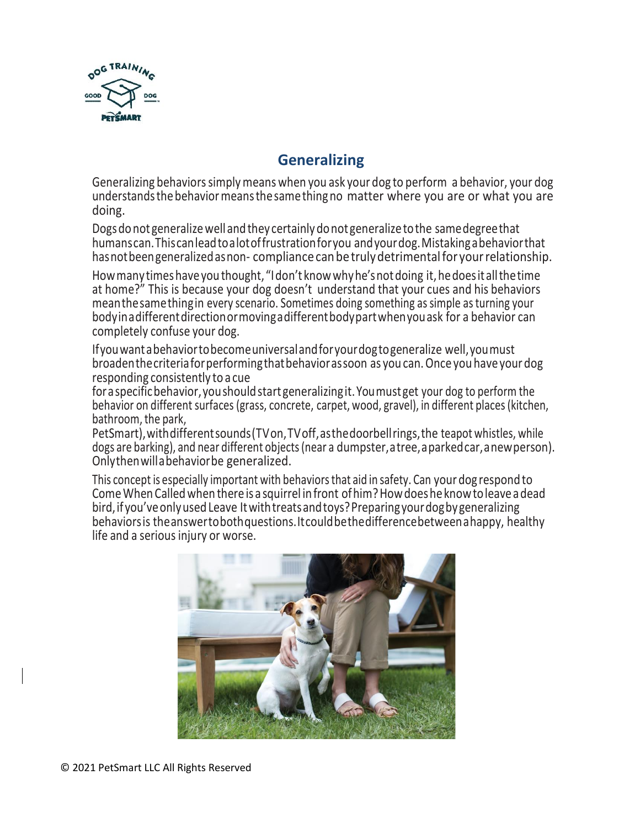

## **Generalizing**

Generalizing behaviors simply means when you ask your dog to perform a behavior, your dog understandsthebehaviormeansthesamethingno matter where you are or what you are doing.

Dogsdonot generalizewellandthey certainlydonotgeneralizetothe samedegreethat humanscan.Thiscanleadtoalotoffrustrationforyou andyourdog.Mistakingabehaviorthat has not been generalized as non-compliance can be truly detrimental for your relationship.

How many times have you thought, "I don't know why he's not doing it, he does it all the time at home?" This is because your dog doesn't understand that your cues and his behaviors meanthesamethingin every scenario. Sometimes doing something as simple asturning your bodyinadifferentdirectionormovingadifferentbodypartwhenyouask for a behavior can completely confuse your dog.

Ifyouwantabehaviortobecomeuniversalandforyourdogtogeneralize well,youmust broadenthecriteriaforperformingthatbehaviorassoon as you can.Once you have your dog responding consistently to a cue

foraspecificbehavior,youshouldstartgeneralizingit.Youmustget your dog to perform the behavior on different surfaces (grass, concrete, carpet, wood, gravel), in different places(kitchen, bathroom, the park,

PetSmart),withdifferentsounds(TVon,TVoff,asthedoorbellrings,the teapot whistles, while dogs are barking), and near different objects(near a dumpster,atree,aparkedcar,anewperson). Onlythenwillabehaviorbe generalized.

This concept is especially important with behaviorsthat aid in safety. Can your dog respond to ComeWhen Called when there is a squirrel infront ofhim?Howdoeshe knowtoleaveadead bird, if you've only used Leave It with treats and toys? Preparing your dog by generalizing behaviorsis theanswertobothquestions.Itcouldbethedifferencebetweenahappy, healthy life and a serious injury or worse.